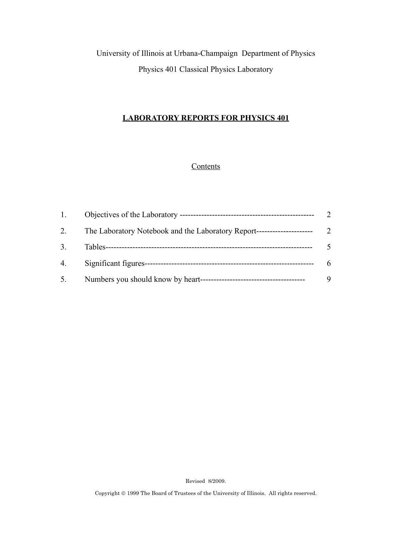University of Illinois at Urbana-Champaign Department of Physics Physics 401 Classical Physics Laboratory

## **LABORATORY REPORTS FOR PHYSICS 401**

## **Contents**

| 1. |                                                                                             |  |
|----|---------------------------------------------------------------------------------------------|--|
| 2. | The Laboratory Notebook and the Laboratory Report-<br>. _ _ _ _ _ _ _ _ _ _ _ _ _ _ _ _ _ _ |  |
| 3. |                                                                                             |  |
| 4. |                                                                                             |  |
| 5. | Numbers you should know by heart--<br>--------------------------------------                |  |

Revised 8/2009.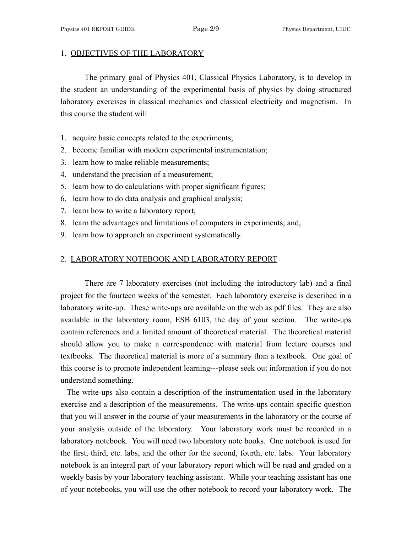### 1. OBJECTIVES OF THE LABORATORY

 The primary goal of Physics 401, Classical Physics Laboratory, is to develop in the student an understanding of the experimental basis of physics by doing structured laboratory exercises in classical mechanics and classical electricity and magnetism. In this course the student will

- 1. acquire basic concepts related to the experiments;
- 2. become familiar with modern experimental instrumentation;
- 3. learn how to make reliable measurements;
- 4. understand the precision of a measurement;
- 5. learn how to do calculations with proper significant figures;
- 6. learn how to do data analysis and graphical analysis;
- 7. learn how to write a laboratory report;
- 8. learn the advantages and limitations of computers in experiments; and,
- 9. learn how to approach an experiment systematically.

# 2. LABORATORY NOTEBOOK AND LABORATORY REPORT

 There are 7 laboratory exercises (not including the introductory lab) and a final project for the fourteen weeks of the semester. Each laboratory exercise is described in a laboratory write-up. These write-ups are available on the web as pdf files. They are also available in the laboratory room, ESB 6103, the day of your section. The write-ups contain references and a limited amount of theoretical material. The theoretical material should allow you to make a correspondence with material from lecture courses and textbooks. The theoretical material is more of a summary than a textbook. One goal of this course is to promote independent learning---please seek out information if you do not understand something.

 The write-ups also contain a description of the instrumentation used in the laboratory exercise and a description of the measurements. The write-ups contain specific question that you will answer in the course of your measurements in the laboratory or the course of your analysis outside of the laboratory. Your laboratory work must be recorded in a laboratory notebook. You will need two laboratory note books. One notebook is used for the first, third, etc. labs, and the other for the second, fourth, etc. labs. Your laboratory notebook is an integral part of your laboratory report which will be read and graded on a weekly basis by your laboratory teaching assistant. While your teaching assistant has one of your notebooks, you will use the other notebook to record your laboratory work. The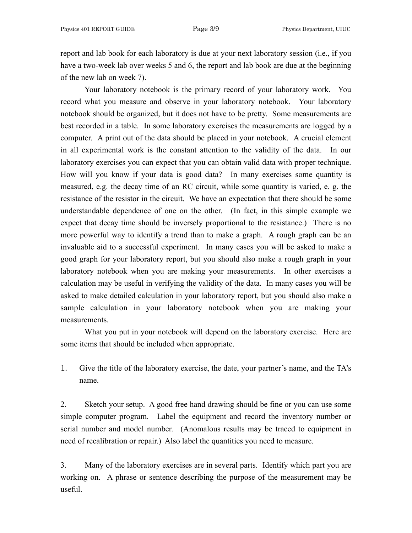report and lab book for each laboratory is due at your next laboratory session (i.e., if you have a two-week lab over weeks 5 and 6, the report and lab book are due at the beginning of the new lab on week 7).

 Your laboratory notebook is the primary record of your laboratory work. You record what you measure and observe in your laboratory notebook. Your laboratory notebook should be organized, but it does not have to be pretty. Some measurements are best recorded in a table. In some laboratory exercises the measurements are logged by a computer. A print out of the data should be placed in your notebook. A crucial element in all experimental work is the constant attention to the validity of the data. In our laboratory exercises you can expect that you can obtain valid data with proper technique. How will you know if your data is good data? In many exercises some quantity is measured, e.g. the decay time of an RC circuit, while some quantity is varied, e. g. the resistance of the resistor in the circuit. We have an expectation that there should be some understandable dependence of one on the other. (In fact, in this simple example we expect that decay time should be inversely proportional to the resistance.) There is no more powerful way to identify a trend than to make a graph. A rough graph can be an invaluable aid to a successful experiment. In many cases you will be asked to make a good graph for your laboratory report, but you should also make a rough graph in your laboratory notebook when you are making your measurements. In other exercises a calculation may be useful in verifying the validity of the data. In many cases you will be asked to make detailed calculation in your laboratory report, but you should also make a sample calculation in your laboratory notebook when you are making your measurements.

 What you put in your notebook will depend on the laboratory exercise. Here are some items that should be included when appropriate.

1. Give the title of the laboratory exercise, the date, your partner's name, and the TA's name.

2. Sketch your setup. A good free hand drawing should be fine or you can use some simple computer program. Label the equipment and record the inventory number or serial number and model number. (Anomalous results may be traced to equipment in need of recalibration or repair.) Also label the quantities you need to measure.

3. Many of the laboratory exercises are in several parts. Identify which part you are working on. A phrase or sentence describing the purpose of the measurement may be useful.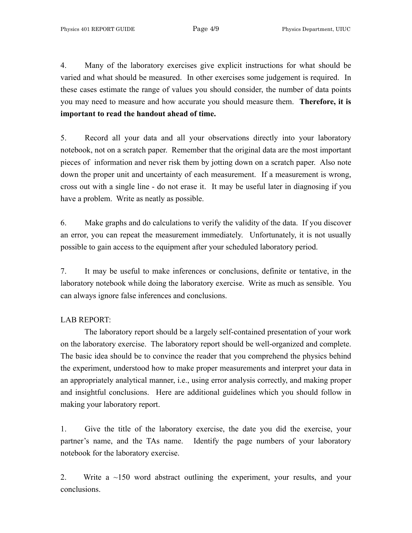4. Many of the laboratory exercises give explicit instructions for what should be varied and what should be measured. In other exercises some judgement is required. In these cases estimate the range of values you should consider, the number of data points you may need to measure and how accurate you should measure them. **Therefore, it is important to read the handout ahead of time.**

5. Record all your data and all your observations directly into your laboratory notebook, not on a scratch paper. Remember that the original data are the most important pieces of information and never risk them by jotting down on a scratch paper. Also note down the proper unit and uncertainty of each measurement. If a measurement is wrong, cross out with a single line - do not erase it. It may be useful later in diagnosing if you have a problem. Write as neatly as possible.

6. Make graphs and do calculations to verify the validity of the data. If you discover an error, you can repeat the measurement immediately. Unfortunately, it is not usually possible to gain access to the equipment after your scheduled laboratory period.

7. It may be useful to make inferences or conclusions, definite or tentative, in the laboratory notebook while doing the laboratory exercise. Write as much as sensible. You can always ignore false inferences and conclusions.

## LAB REPORT:

 The laboratory report should be a largely self-contained presentation of your work on the laboratory exercise. The laboratory report should be well-organized and complete. The basic idea should be to convince the reader that you comprehend the physics behind the experiment, understood how to make proper measurements and interpret your data in an appropriately analytical manner, i.e., using error analysis correctly, and making proper and insightful conclusions. Here are additional guidelines which you should follow in making your laboratory report.

1. Give the title of the laboratory exercise, the date you did the exercise, your partner's name, and the TAs name. Identify the page numbers of your laboratory notebook for the laboratory exercise.

2. Write a ~150 word abstract outlining the experiment, your results, and your conclusions.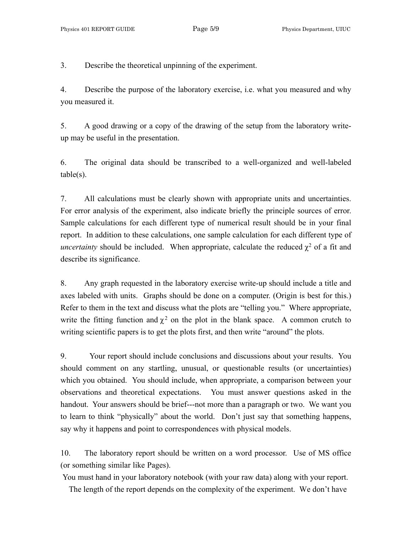3. Describe the theoretical unpinning of the experiment.

4. Describe the purpose of the laboratory exercise, i.e. what you measured and why you measured it.

5. A good drawing or a copy of the drawing of the setup from the laboratory writeup may be useful in the presentation.

6. The original data should be transcribed to a well-organized and well-labeled  $table(s)$ .

7. All calculations must be clearly shown with appropriate units and uncertainties. For error analysis of the experiment, also indicate briefly the principle sources of error. Sample calculations for each different type of numerical result should be in your final report. In addition to these calculations, one sample calculation for each different type of *uncertainty* should be included. When appropriate, calculate the reduced  $\chi^2$  of a fit and describe its significance.

8. Any graph requested in the laboratory exercise write-up should include a title and axes labeled with units. Graphs should be done on a computer. (Origin is best for this.) Refer to them in the text and discuss what the plots are "telling you." Where appropriate, write the fitting function and  $\chi^2$  on the plot in the blank space. A common crutch to writing scientific papers is to get the plots first, and then write "around" the plots.

9. Your report should include conclusions and discussions about your results. You should comment on any startling, unusual, or questionable results (or uncertainties) which you obtained. You should include, when appropriate, a comparison between your observations and theoretical expectations. You must answer questions asked in the handout. Your answers should be brief---not more than a paragraph or two. We want you to learn to think "physically" about the world. Don't just say that something happens, say why it happens and point to correspondences with physical models.

10. The laboratory report should be written on a word processor. Use of MS office (or something similar like Pages).

 You must hand in your laboratory notebook (with your raw data) along with your report. The length of the report depends on the complexity of the experiment. We don't have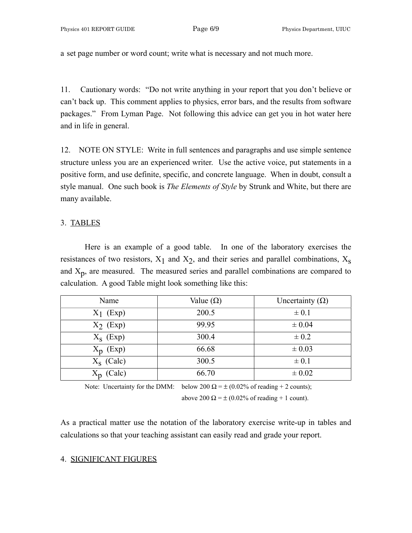a set page number or word count; write what is necessary and not much more.

11. Cautionary words: "Do not write anything in your report that you don't believe or can't back up. This comment applies to physics, error bars, and the results from software packages." From Lyman Page. Not following this advice can get you in hot water here and in life in general.

12. NOTE ON STYLE: Write in full sentences and paragraphs and use simple sentence structure unless you are an experienced writer. Use the active voice, put statements in a positive form, and use definite, specific, and concrete language. When in doubt, consult a style manual. One such book is *The Elements of Style* by Strunk and White, but there are many available.

### 3. TABLES

 Here is an example of a good table. In one of the laboratory exercises the resistances of two resistors,  $X_1$  and  $X_2$ , and their series and parallel combinations,  $X_s$ and  $X_p$ , are measured. The measured series and parallel combinations are compared to calculation. A good Table might look something like this:

| Name         | Value $(\Omega)$ | Uncertainty $(\Omega)$ |
|--------------|------------------|------------------------|
| $X_1$ (Exp)  | 200.5            | $\pm 0.1$              |
| $X_2$ (Exp)  | 99.95            | $\pm 0.04$             |
| $X_s$ (Exp)  | 300.4            | $\pm 0.2$              |
| $X_p$ (Exp)  | 66.68            | $\pm 0.03$             |
| $X_S$ (Calc) | 300.5            | $\pm 0.1$              |
| (Calc)       | 66.70            | $\pm 0.02$             |

Note: Uncertainty for the DMM: below 200  $\Omega = \pm (0.02\% \text{ of reading} + 2 \text{ counts});$ 

above 200  $\Omega = \pm (0.02\% \text{ of reading} + 1 \text{ count}).$ 

As a practical matter use the notation of the laboratory exercise write-up in tables and calculations so that your teaching assistant can easily read and grade your report.

## 4. SIGNIFICANT FIGURES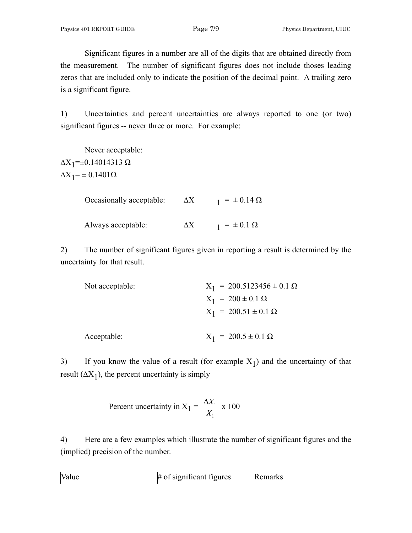Significant figures in a number are all of the digits that are obtained directly from the measurement. The number of significant figures does not include thoses leading zeros that are included only to indicate the position of the decimal point. A trailing zero is a significant figure.

1) Uncertainties and percent uncertainties are always reported to one (or two) significant figures -- never three or more. For example:

 Never acceptable:  $\Delta$ X<sub>1</sub>=±0.14014313 Ω  $\Delta X_1$ = ± 0.1401 $\Omega$ 

| Occasionally acceptable: | $\Delta X$ | $_1 = \pm 0.14 \Omega$ |
|--------------------------|------------|------------------------|
| Always acceptable:       | $\Delta X$ | $_1 = \pm 0.1 \Omega$  |

2) The number of significant figures given in reporting a result is determined by the uncertainty for that result.

| Not acceptable: | $X_1 = 200.5123456 \pm 0.1 \Omega$ |
|-----------------|------------------------------------|
|                 | $X_1 = 200 \pm 0.1 \Omega$         |
|                 | $X_1 = 200.51 \pm 0.1 \Omega$      |
| Acceptable:     | $X_1 = 200.5 \pm 0.1 \Omega$       |

3) If you know the value of a result (for example  $X_1$ ) and the uncertainty of that result  $(\Delta X_1)$ , the percent uncertainty is simply

Percent uncertainty in 
$$
X_1 = \left| \frac{\Delta X_1}{X_1} \right| \ge 100
$$

4) Here are a few examples which illustrate the number of significant figures and the (implied) precision of the number.

| $\mathbf{L}$<br>ivali | miticant figures<br>31gn1f1cant | ıκ |  |
|-----------------------|---------------------------------|----|--|
|-----------------------|---------------------------------|----|--|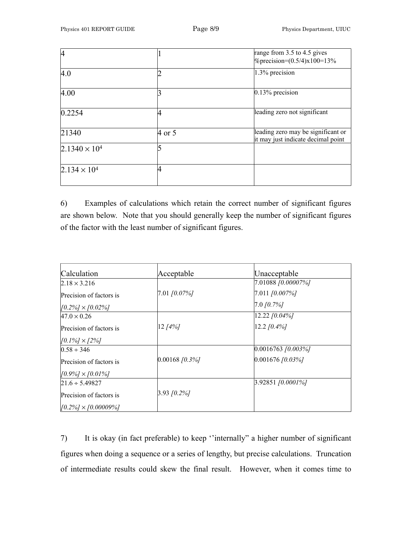| 4                      |        | range from 3.5 to 4.5 gives<br>$\%$ precision=(0.5/4)x100=13%            |
|------------------------|--------|--------------------------------------------------------------------------|
|                        |        |                                                                          |
| 4.0                    |        | 1.3% precision                                                           |
|                        |        |                                                                          |
| 4.00                   |        | $0.13%$ precision                                                        |
| 0.2254                 |        | leading zero not significant                                             |
| 21340                  | 4 or 5 | leading zero may be significant or<br>it may just indicate decimal point |
| $2.1340 \times 10^{4}$ |        |                                                                          |
| $2.134 \times 10^{4}$  |        |                                                                          |

6) Examples of calculations which retain the correct number of significant figures are shown below. Note that you should generally keep the number of significant figures of the factor with the least number of significant figures.

| Calculation                  | Acceptable       | Unacceptable           |
|------------------------------|------------------|------------------------|
| $2.18 \times 3.216$          |                  | 7.01088 [0.00007%]     |
| Precision of factors is      | 7.01 [0.07%]     | $[7.011]$ $[0.007\%]$  |
| $[0.2\%]\times[0.02\%]$      |                  | $[7.0 f0.7\%]$         |
| $47.0 \times 0.26$           |                  | $[12.22] [0.04\%]$     |
| Precision of factors is      | $12 [4\%]$       | $[12.2 f0.4\%]$        |
| $[0.1\%] \times [2\%]$       |                  |                        |
| $0.58 \div 346$              |                  | $[0.0016763]$ [0.003%] |
| Precision of factors is      | $0.00168$ [0.3%] | $0.001676$ [0.03%]     |
| $[0.9\%] \times [0.01\%]$    |                  |                        |
| $21.6 \div 5.49827$          |                  | $3.92851$ [0.0001%]    |
| Precision of factors is      | $3.93$ [0.2%]    |                        |
| $[0.2\%] \times [0.00009\%]$ |                  |                        |

7) It is okay (in fact preferable) to keep ''internally" a higher number of significant figures when doing a sequence or a series of lengthy, but precise calculations. Truncation of intermediate results could skew the final result. However, when it comes time to